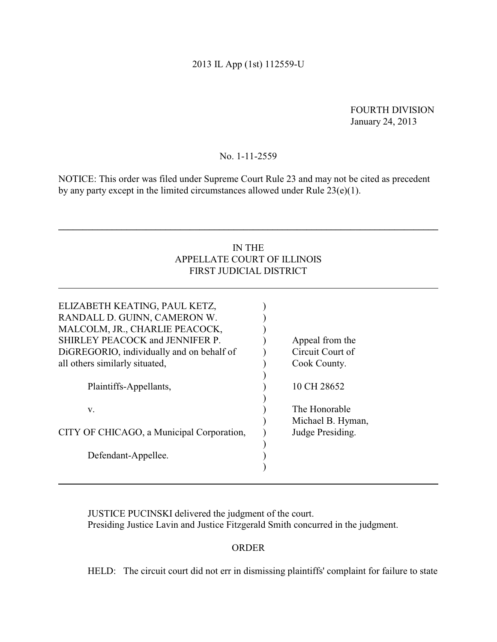# 2013 IL App (1st) 112559-U

FOURTH DIVISION January 24, 2013

## No. 1-11-2559

NOTICE: This order was filed under Supreme Court Rule 23 and may not be cited as precedent by any party except in the limited circumstances allowed under Rule 23(e)(1).

# IN THE APPELLATE COURT OF ILLINOIS FIRST JUDICIAL DISTRICT

**\_\_\_\_\_\_\_\_\_\_\_\_\_\_\_\_\_\_\_\_\_\_\_\_\_\_\_\_\_\_\_\_\_\_\_\_\_\_\_\_\_\_\_\_\_\_\_\_\_\_\_\_\_\_\_\_\_\_\_\_\_\_\_\_\_\_\_\_\_\_\_\_\_\_\_\_\_\_**

| ELIZABETH KEATING, PAUL KETZ,<br>RANDALL D. GUINN, CAMERON W.<br>MALCOLM, JR., CHARLIE PEACOCK,<br>SHIRLEY PEACOCK and JENNIFER P.<br>DiGREGORIO, individually and on behalf of<br>all others similarly situated, | Appeal from the<br>Circuit Court of<br>Cook County. |
|-------------------------------------------------------------------------------------------------------------------------------------------------------------------------------------------------------------------|-----------------------------------------------------|
| Plaintiffs-Appellants,                                                                                                                                                                                            | 10 CH 28652                                         |
| V.                                                                                                                                                                                                                | The Honorable<br>Michael B. Hyman,                  |
| CITY OF CHICAGO, a Municipal Corporation,                                                                                                                                                                         | Judge Presiding.                                    |
| Defendant-Appellee.                                                                                                                                                                                               |                                                     |

JUSTICE PUCINSKI delivered the judgment of the court. Presiding Justice Lavin and Justice Fitzgerald Smith concurred in the judgment.

## ORDER

HELD: The circuit court did not err in dismissing plaintiffs' complaint for failure to state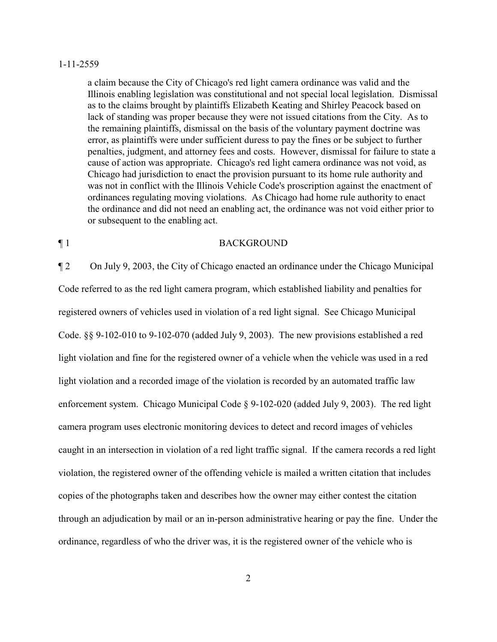a claim because the City of Chicago's red light camera ordinance was valid and the Illinois enabling legislation was constitutional and not special local legislation. Dismissal as to the claims brought by plaintiffs Elizabeth Keating and Shirley Peacock based on lack of standing was proper because they were not issued citations from the City. As to the remaining plaintiffs, dismissal on the basis of the voluntary payment doctrine was error, as plaintiffs were under sufficient duress to pay the fines or be subject to further penalties, judgment, and attorney fees and costs. However, dismissal for failure to state a cause of action was appropriate. Chicago's red light camera ordinance was not void, as Chicago had jurisdiction to enact the provision pursuant to its home rule authority and was not in conflict with the Illinois Vehicle Code's proscription against the enactment of ordinances regulating moving violations. As Chicago had home rule authority to enact the ordinance and did not need an enabling act, the ordinance was not void either prior to or subsequent to the enabling act.

## ¶ 1 BACKGROUND

¶ 2 On July 9, 2003, the City of Chicago enacted an ordinance under the Chicago Municipal Code referred to as the red light camera program, which established liability and penalties for registered owners of vehicles used in violation of a red light signal. See Chicago Municipal Code. §§ 9-102-010 to 9-102-070 (added July 9, 2003). The new provisions established a red light violation and fine for the registered owner of a vehicle when the vehicle was used in a red light violation and a recorded image of the violation is recorded by an automated traffic law enforcement system. Chicago Municipal Code § 9-102-020 (added July 9, 2003). The red light camera program uses electronic monitoring devices to detect and record images of vehicles caught in an intersection in violation of a red light traffic signal. If the camera records a red light violation, the registered owner of the offending vehicle is mailed a written citation that includes copies of the photographs taken and describes how the owner may either contest the citation through an adjudication by mail or an in-person administrative hearing or pay the fine. Under the ordinance, regardless of who the driver was, it is the registered owner of the vehicle who is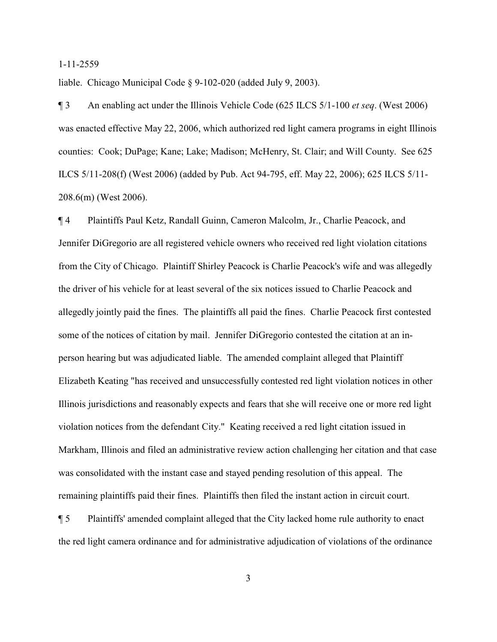liable. Chicago Municipal Code § 9-102-020 (added July 9, 2003).

¶ 3 An enabling act under the Illinois Vehicle Code (625 ILCS 5/1-100 *et seq*. (West 2006) was enacted effective May 22, 2006, which authorized red light camera programs in eight Illinois counties: Cook; DuPage; Kane; Lake; Madison; McHenry, St. Clair; and Will County. See 625 ILCS 5/11-208(f) (West 2006) (added by Pub. Act 94-795, eff. May 22, 2006); 625 ILCS 5/11- 208.6(m) (West 2006).

¶ 4 Plaintiffs Paul Ketz, Randall Guinn, Cameron Malcolm, Jr., Charlie Peacock, and Jennifer DiGregorio are all registered vehicle owners who received red light violation citations from the City of Chicago. Plaintiff Shirley Peacock is Charlie Peacock's wife and was allegedly the driver of his vehicle for at least several of the six notices issued to Charlie Peacock and allegedly jointly paid the fines. The plaintiffs all paid the fines. Charlie Peacock first contested some of the notices of citation by mail. Jennifer DiGregorio contested the citation at an inperson hearing but was adjudicated liable. The amended complaint alleged that Plaintiff Elizabeth Keating "has received and unsuccessfully contested red light violation notices in other Illinois jurisdictions and reasonably expects and fears that she will receive one or more red light violation notices from the defendant City." Keating received a red light citation issued in Markham, Illinois and filed an administrative review action challenging her citation and that case was consolidated with the instant case and stayed pending resolution of this appeal. The remaining plaintiffs paid their fines. Plaintiffs then filed the instant action in circuit court.

¶ 5 Plaintiffs' amended complaint alleged that the City lacked home rule authority to enact the red light camera ordinance and for administrative adjudication of violations of the ordinance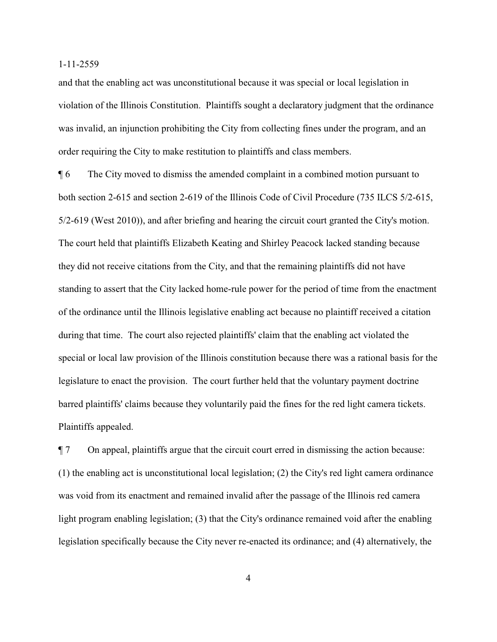and that the enabling act was unconstitutional because it was special or local legislation in violation of the Illinois Constitution. Plaintiffs sought a declaratory judgment that the ordinance was invalid, an injunction prohibiting the City from collecting fines under the program, and an order requiring the City to make restitution to plaintiffs and class members.

¶ 6 The City moved to dismiss the amended complaint in a combined motion pursuant to both section 2-615 and section 2-619 of the Illinois Code of Civil Procedure (735 ILCS 5/2-615, 5/2-619 (West 2010)), and after briefing and hearing the circuit court granted the City's motion. The court held that plaintiffs Elizabeth Keating and Shirley Peacock lacked standing because they did not receive citations from the City, and that the remaining plaintiffs did not have standing to assert that the City lacked home-rule power for the period of time from the enactment of the ordinance until the Illinois legislative enabling act because no plaintiff received a citation during that time. The court also rejected plaintiffs' claim that the enabling act violated the special or local law provision of the Illinois constitution because there was a rational basis for the legislature to enact the provision. The court further held that the voluntary payment doctrine barred plaintiffs' claims because they voluntarily paid the fines for the red light camera tickets. Plaintiffs appealed.

¶ 7 On appeal, plaintiffs argue that the circuit court erred in dismissing the action because: (1) the enabling act is unconstitutional local legislation; (2) the City's red light camera ordinance was void from its enactment and remained invalid after the passage of the Illinois red camera light program enabling legislation; (3) that the City's ordinance remained void after the enabling legislation specifically because the City never re-enacted its ordinance; and (4) alternatively, the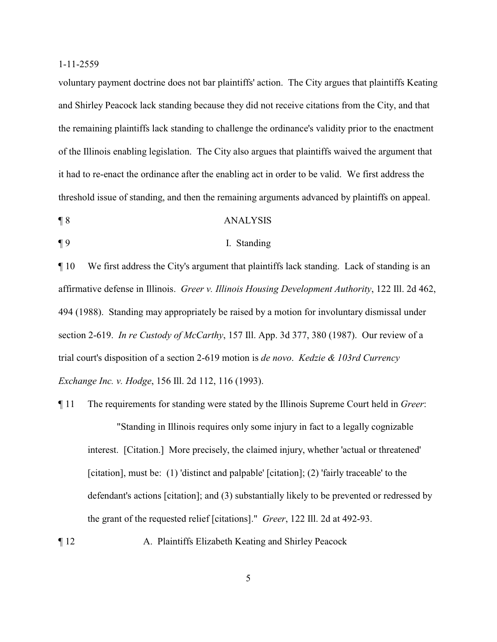voluntary payment doctrine does not bar plaintiffs' action. The City argues that plaintiffs Keating and Shirley Peacock lack standing because they did not receive citations from the City, and that the remaining plaintiffs lack standing to challenge the ordinance's validity prior to the enactment of the Illinois enabling legislation. The City also argues that plaintiffs waived the argument that it had to re-enact the ordinance after the enabling act in order to be valid. We first address the threshold issue of standing, and then the remaining arguments advanced by plaintiffs on appeal.

- ¶ 8 ANALYSIS
- 

#### ¶ 9 I. Standing

¶ 10 We first address the City's argument that plaintiffs lack standing. Lack of standing is an affirmative defense in Illinois. *Greer v. Illinois Housing Development Authority*, 122 Ill. 2d 462, 494 (1988). Standing may appropriately be raised by a motion for involuntary dismissal under section 2-619. *In re Custody of McCarthy*, 157 Ill. App. 3d 377, 380 (1987). Our review of a trial court's disposition of a section 2-619 motion is *de novo*. *Kedzie & 103rd Currency Exchange Inc. v. Hodge*, 156 Ill. 2d 112, 116 (1993).

- ¶ 11 The requirements for standing were stated by the Illinois Supreme Court held in *Greer*: "Standing in Illinois requires only some injury in fact to a legally cognizable interest. [Citation.] More precisely, the claimed injury, whether 'actual or threatened' [citation], must be: (1) 'distinct and palpable' [citation]; (2) 'fairly traceable' to the defendant's actions [citation]; and (3) substantially likely to be prevented or redressed by the grant of the requested relief [citations]." *Greer*, 122 Ill. 2d at 492-93.
- ¶ 12 A. Plaintiffs Elizabeth Keating and Shirley Peacock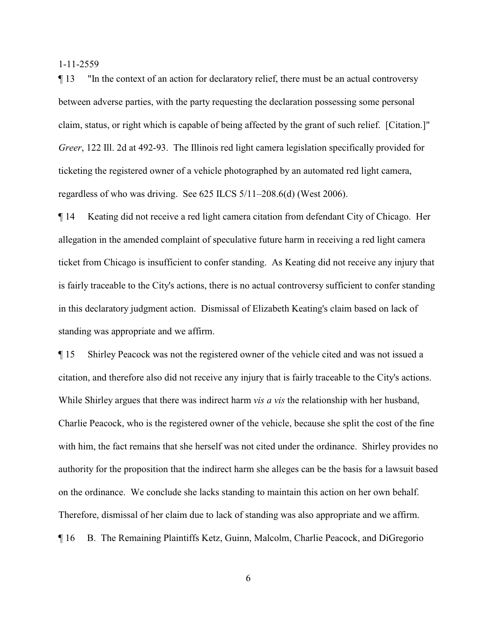¶ 13 "In the context of an action for declaratory relief, there must be an actual controversy between adverse parties, with the party requesting the declaration possessing some personal claim, status, or right which is capable of being affected by the grant of such relief. [Citation.]" *Greer*, 122 Ill. 2d at 492-93. The Illinois red light camera legislation specifically provided for ticketing the registered owner of a vehicle photographed by an automated red light camera, regardless of who was driving. See 625 ILCS 5/11–208.6(d) (West 2006).

¶ 14 Keating did not receive a red light camera citation from defendant City of Chicago. Her allegation in the amended complaint of speculative future harm in receiving a red light camera ticket from Chicago is insufficient to confer standing. As Keating did not receive any injury that is fairly traceable to the City's actions, there is no actual controversy sufficient to confer standing in this declaratory judgment action. Dismissal of Elizabeth Keating's claim based on lack of standing was appropriate and we affirm.

¶ 15 Shirley Peacock was not the registered owner of the vehicle cited and was not issued a citation, and therefore also did not receive any injury that is fairly traceable to the City's actions. While Shirley argues that there was indirect harm *vis a vis* the relationship with her husband, Charlie Peacock, who is the registered owner of the vehicle, because she split the cost of the fine with him, the fact remains that she herself was not cited under the ordinance. Shirley provides no authority for the proposition that the indirect harm she alleges can be the basis for a lawsuit based on the ordinance. We conclude she lacks standing to maintain this action on her own behalf. Therefore, dismissal of her claim due to lack of standing was also appropriate and we affirm. ¶ 16 B. The Remaining Plaintiffs Ketz, Guinn, Malcolm, Charlie Peacock, and DiGregorio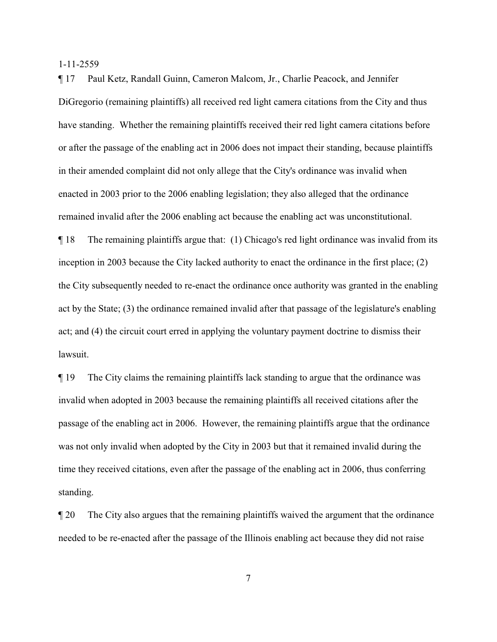¶ 17 Paul Ketz, Randall Guinn, Cameron Malcom, Jr., Charlie Peacock, and Jennifer DiGregorio (remaining plaintiffs) all received red light camera citations from the City and thus have standing. Whether the remaining plaintiffs received their red light camera citations before or after the passage of the enabling act in 2006 does not impact their standing, because plaintiffs in their amended complaint did not only allege that the City's ordinance was invalid when enacted in 2003 prior to the 2006 enabling legislation; they also alleged that the ordinance remained invalid after the 2006 enabling act because the enabling act was unconstitutional. ¶ 18 The remaining plaintiffs argue that: (1) Chicago's red light ordinance was invalid from its inception in 2003 because the City lacked authority to enact the ordinance in the first place; (2) the City subsequently needed to re-enact the ordinance once authority was granted in the enabling act by the State; (3) the ordinance remained invalid after that passage of the legislature's enabling act; and (4) the circuit court erred in applying the voluntary payment doctrine to dismiss their lawsuit.

¶ 19 The City claims the remaining plaintiffs lack standing to argue that the ordinance was invalid when adopted in 2003 because the remaining plaintiffs all received citations after the passage of the enabling act in 2006. However, the remaining plaintiffs argue that the ordinance was not only invalid when adopted by the City in 2003 but that it remained invalid during the time they received citations, even after the passage of the enabling act in 2006, thus conferring standing.

¶ 20 The City also argues that the remaining plaintiffs waived the argument that the ordinance needed to be re-enacted after the passage of the Illinois enabling act because they did not raise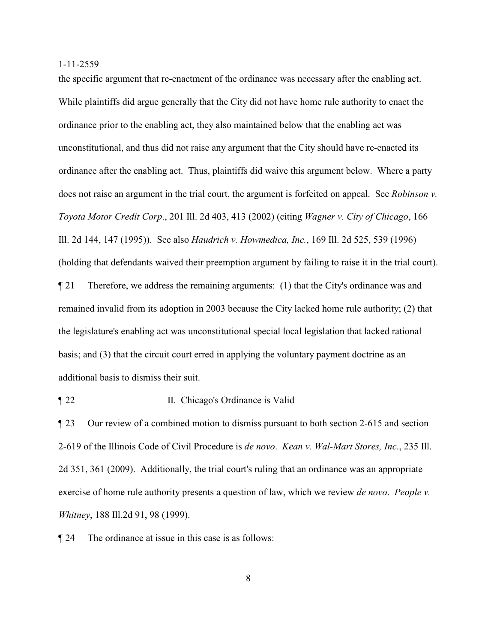the specific argument that re-enactment of the ordinance was necessary after the enabling act. While plaintiffs did argue generally that the City did not have home rule authority to enact the ordinance prior to the enabling act, they also maintained below that the enabling act was unconstitutional, and thus did not raise any argument that the City should have re-enacted its ordinance after the enabling act. Thus, plaintiffs did waive this argument below. Where a party does not raise an argument in the trial court, the argument is forfeited on appeal. See *Robinson v. Toyota Motor Credit Corp*., 201 Ill. 2d 403, 413 (2002) (citing *Wagner v. City of Chicago*, 166 Ill. 2d 144, 147 (1995)). See also *Haudrich v. Howmedica, Inc.*, 169 Ill. 2d 525, 539 (1996) (holding that defendants waived their preemption argument by failing to raise it in the trial court). ¶ 21 Therefore, we address the remaining arguments: (1) that the City's ordinance was and remained invalid from its adoption in 2003 because the City lacked home rule authority; (2) that the legislature's enabling act was unconstitutional special local legislation that lacked rational basis; and (3) that the circuit court erred in applying the voluntary payment doctrine as an additional basis to dismiss their suit.

¶ 22 II. Chicago's Ordinance is Valid

¶ 23 Our review of a combined motion to dismiss pursuant to both section 2-615 and section 2-619 of the Illinois Code of Civil Procedure is *de novo*. *Kean v. Wal-Mart Stores, Inc*., 235 Ill. 2d 351, 361 (2009). Additionally, the trial court's ruling that an ordinance was an appropriate exercise of home rule authority presents a question of law, which we review *de novo*. *People v. Whitney*, 188 Ill.2d 91, 98 (1999).

¶ 24 The ordinance at issue in this case is as follows: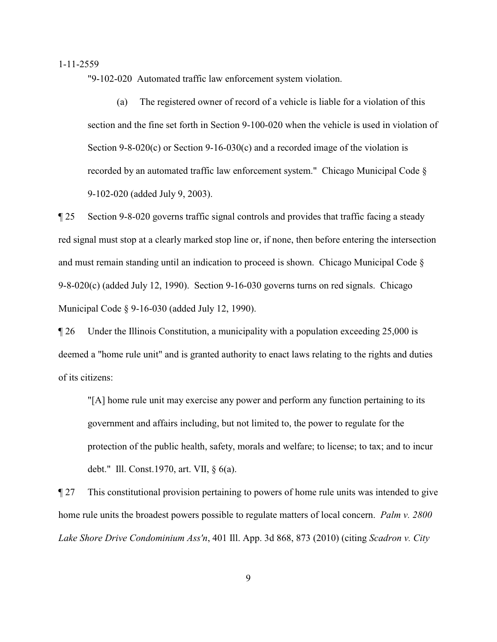"9-102-020 Automated traffic law enforcement system violation.

(a) The registered owner of record of a vehicle is liable for a violation of this section and the fine set forth in Section 9-100-020 when the vehicle is used in violation of Section 9-8-020(c) or Section 9-16-030(c) and a recorded image of the violation is recorded by an automated traffic law enforcement system." Chicago Municipal Code § 9-102-020 (added July 9, 2003).

¶ 25 Section 9-8-020 governs traffic signal controls and provides that traffic facing a steady red signal must stop at a clearly marked stop line or, if none, then before entering the intersection and must remain standing until an indication to proceed is shown. Chicago Municipal Code § 9-8-020(c) (added July 12, 1990). Section 9-16-030 governs turns on red signals. Chicago Municipal Code § 9-16-030 (added July 12, 1990).

¶ 26 Under the Illinois Constitution, a municipality with a population exceeding 25,000 is deemed a "home rule unit" and is granted authority to enact laws relating to the rights and duties of its citizens:

"[A] home rule unit may exercise any power and perform any function pertaining to its government and affairs including, but not limited to, the power to regulate for the protection of the public health, safety, morals and welfare; to license; to tax; and to incur debt." Ill. Const.1970, art. VII, § 6(a).

¶ 27 This constitutional provision pertaining to powers of home rule units was intended to give home rule units the broadest powers possible to regulate matters of local concern. *Palm v. 2800 Lake Shore Drive Condominium Ass'n*, 401 Ill. App. 3d 868, 873 (2010) (citing *Scadron v. City*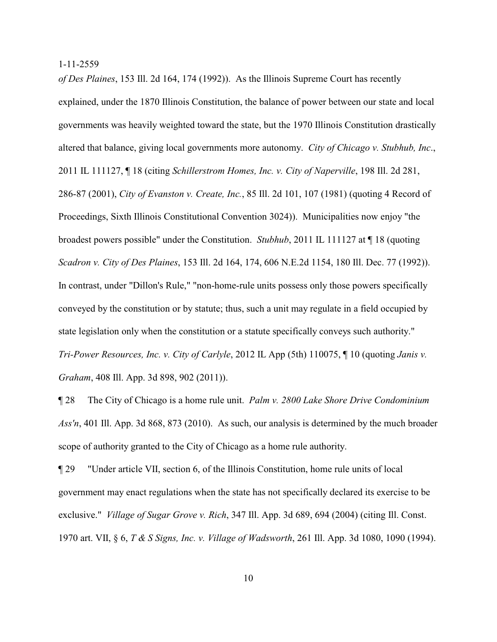*of Des Plaines*, 153 Ill. 2d 164, 174 (1992)). As the Illinois Supreme Court has recently explained, under the 1870 Illinois Constitution, the balance of power between our state and local governments was heavily weighted toward the state, but the 1970 Illinois Constitution drastically altered that balance, giving local governments more autonomy. *City of Chicago v. Stubhub, Inc*., 2011 IL 111127, ¶ 18 (citing *Schillerstrom Homes, Inc. v. City of Naperville*, 198 Ill. 2d 281, 286-87 (2001), *City of Evanston v. Create, Inc.*, 85 Ill. 2d 101, 107 (1981) (quoting 4 Record of Proceedings, Sixth Illinois Constitutional Convention 3024)). Municipalities now enjoy "the broadest powers possible" under the Constitution. *Stubhub*, 2011 IL 111127 at ¶ 18 (quoting *Scadron v. City of Des Plaines*, 153 Ill. 2d 164, 174, 606 N.E.2d 1154, 180 Ill. Dec. 77 (1992)). In contrast, under "Dillon's Rule," "non-home-rule units possess only those powers specifically conveyed by the constitution or by statute; thus, such a unit may regulate in a field occupied by state legislation only when the constitution or a statute specifically conveys such authority." *Tri-Power Resources, Inc. v. City of Carlyle*, 2012 IL App (5th) 110075, ¶ 10 (quoting *Janis v. Graham*, 408 Ill. App. 3d 898, 902 (2011)).

¶ 28 The City of Chicago is a home rule unit. *Palm v. 2800 Lake Shore Drive Condominium Ass'n*, 401 Ill. App. 3d 868, 873 (2010). As such, our analysis is determined by the much broader scope of authority granted to the City of Chicago as a home rule authority.

¶ 29 "Under article VII, section 6, of the Illinois Constitution, home rule units of local government may enact regulations when the state has not specifically declared its exercise to be exclusive." *Village of Sugar Grove v. Rich*, 347 Ill. App. 3d 689, 694 (2004) (citing Ill. Const. 1970 art. VII, § 6, *T & S Signs, Inc. v. Village of Wadsworth*, 261 Ill. App. 3d 1080, 1090 (1994).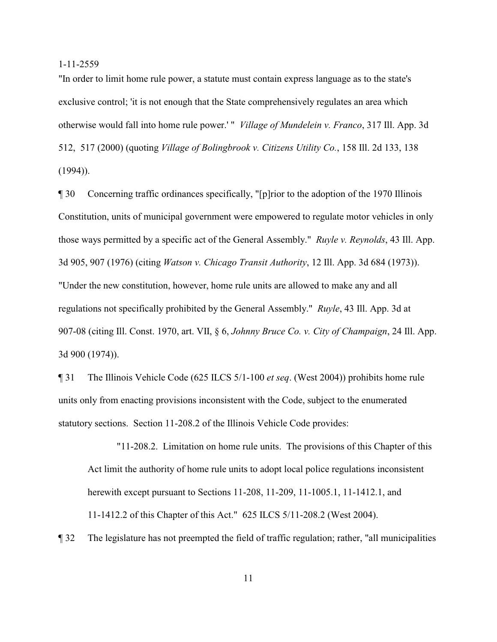"In order to limit home rule power, a statute must contain express language as to the state's exclusive control; 'it is not enough that the State comprehensively regulates an area which otherwise would fall into home rule power.' " *Village of Mundelein v. Franco*, 317 Ill. App. 3d 512, 517 (2000) (quoting *Village of Bolingbrook v. Citizens Utility Co.*, 158 Ill. 2d 133, 138  $(1994)$ ).

¶ 30 Concerning traffic ordinances specifically, "[p]rior to the adoption of the 1970 Illinois Constitution, units of municipal government were empowered to regulate motor vehicles in only those ways permitted by a specific act of the General Assembly." *Ruyle v. Reynolds*, 43 Ill. App. 3d 905, 907 (1976) (citing *Watson v. Chicago Transit Authority*, 12 Ill. App. 3d 684 (1973)). "Under the new constitution, however, home rule units are allowed to make any and all regulations not specifically prohibited by the General Assembly." *Ruyle*, 43 Ill. App. 3d at 907-08 (citing Ill. Const. 1970, art. VII, § 6, *Johnny Bruce Co. v. City of Champaign*, 24 Ill. App. 3d 900 (1974)).

¶ 31 The Illinois Vehicle Code (625 ILCS 5/1-100 *et seq*. (West 2004)) prohibits home rule units only from enacting provisions inconsistent with the Code, subject to the enumerated statutory sections. Section 11-208.2 of the Illinois Vehicle Code provides:

"11-208.2. Limitation on home rule units. The provisions of this Chapter of this Act limit the authority of home rule units to adopt local police regulations inconsistent herewith except pursuant to Sections 11-208, 11-209, 11-1005.1, 11-1412.1, and 11-1412.2 of this Chapter of this Act." 625 ILCS 5/11-208.2 (West 2004).

¶ 32 The legislature has not preempted the field of traffic regulation; rather, "all municipalities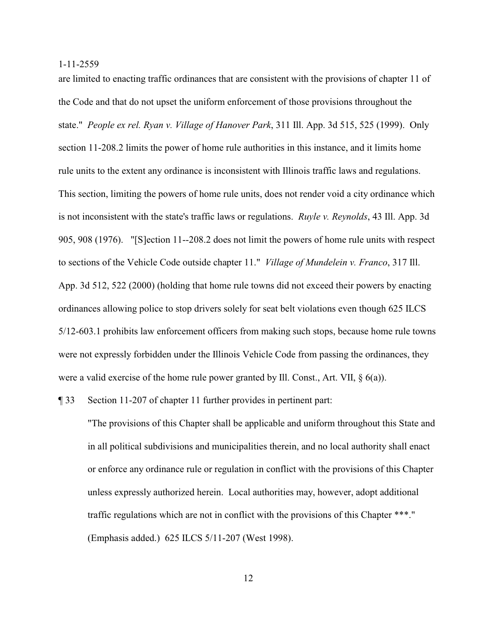are limited to enacting traffic ordinances that are consistent with the provisions of chapter 11 of the Code and that do not upset the uniform enforcement of those provisions throughout the state." *People ex rel. Ryan v. Village of Hanover Park*, 311 Ill. App. 3d 515, 525 (1999). Only section 11-208.2 limits the power of home rule authorities in this instance, and it limits home rule units to the extent any ordinance is inconsistent with Illinois traffic laws and regulations. This section, limiting the powers of home rule units, does not render void a city ordinance which is not inconsistent with the state's traffic laws or regulations. *Ruyle v. Reynolds*, 43 Ill. App. 3d 905, 908 (1976). "[S]ection 11--208.2 does not limit the powers of home rule units with respect to sections of the Vehicle Code outside chapter 11." *Village of Mundelein v. Franco*, 317 Ill. App. 3d 512, 522 (2000) (holding that home rule towns did not exceed their powers by enacting ordinances allowing police to stop drivers solely for seat belt violations even though 625 ILCS 5/12-603.1 prohibits law enforcement officers from making such stops, because home rule towns were not expressly forbidden under the Illinois Vehicle Code from passing the ordinances, they were a valid exercise of the home rule power granted by Ill. Const., Art. VII, § 6(a)).

¶ 33 Section 11-207 of chapter 11 further provides in pertinent part:

"The provisions of this Chapter shall be applicable and uniform throughout this State and in all political subdivisions and municipalities therein, and no local authority shall enact or enforce any ordinance rule or regulation in conflict with the provisions of this Chapter unless expressly authorized herein. Local authorities may, however, adopt additional traffic regulations which are not in conflict with the provisions of this Chapter \*\*\*." (Emphasis added.) 625 ILCS 5/11-207 (West 1998).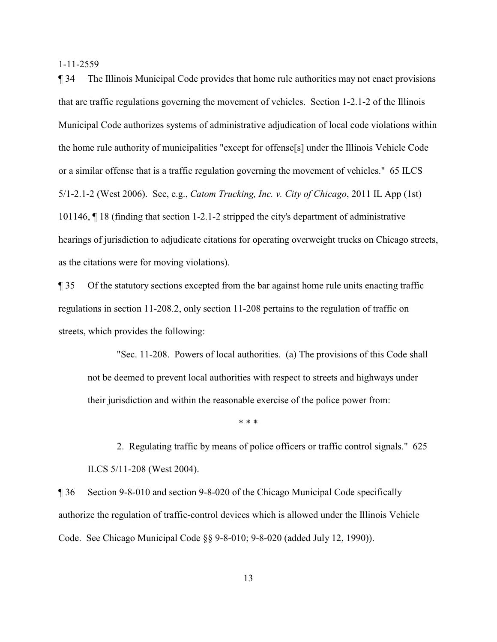¶ 34 The Illinois Municipal Code provides that home rule authorities may not enact provisions that are traffic regulations governing the movement of vehicles. Section 1-2.1-2 of the Illinois Municipal Code authorizes systems of administrative adjudication of local code violations within the home rule authority of municipalities "except for offense[s] under the Illinois Vehicle Code or a similar offense that is a traffic regulation governing the movement of vehicles." 65 ILCS 5/1-2.1-2 (West 2006). See, e.g., *Catom Trucking, Inc. v. City of Chicago*, 2011 IL App (1st) 101146, ¶ 18 (finding that section 1-2.1-2 stripped the city's department of administrative hearings of jurisdiction to adjudicate citations for operating overweight trucks on Chicago streets, as the citations were for moving violations).

¶ 35 Of the statutory sections excepted from the bar against home rule units enacting traffic regulations in section 11-208.2, only section 11-208 pertains to the regulation of traffic on streets, which provides the following:

 "Sec. 11-208. Powers of local authorities. (a) The provisions of this Code shall not be deemed to prevent local authorities with respect to streets and highways under their jurisdiction and within the reasonable exercise of the police power from:

\* \* \*

2. Regulating traffic by means of police officers or traffic control signals." 625 ILCS 5/11-208 (West 2004).

¶ 36 Section 9-8-010 and section 9-8-020 of the Chicago Municipal Code specifically authorize the regulation of traffic-control devices which is allowed under the Illinois Vehicle Code. See Chicago Municipal Code §§ 9-8-010; 9-8-020 (added July 12, 1990)).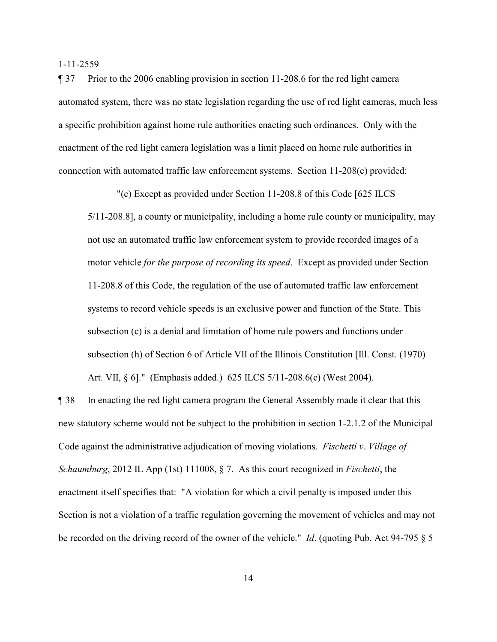¶ 37 Prior to the 2006 enabling provision in section 11-208.6 for the red light camera automated system, there was no state legislation regarding the use of red light cameras, much less a specific prohibition against home rule authorities enacting such ordinances. Only with the enactment of the red light camera legislation was a limit placed on home rule authorities in connection with automated traffic law enforcement systems. Section 11-208(c) provided:

"(c) Except as provided under Section 11-208.8 of this Code [625 ILCS

5/11-208.8], a county or municipality, including a home rule county or municipality, may not use an automated traffic law enforcement system to provide recorded images of a motor vehicle *for the purpose of recording its speed*. Except as provided under Section 11-208.8 of this Code, the regulation of the use of automated traffic law enforcement systems to record vehicle speeds is an exclusive power and function of the State. This subsection (c) is a denial and limitation of home rule powers and functions under subsection (h) of Section 6 of Article VII of the Illinois Constitution [Ill. Const. (1970) Art. VII, § 6]." (Emphasis added.) 625 ILCS 5/11-208.6(c) (West 2004).

¶ 38 In enacting the red light camera program the General Assembly made it clear that this new statutory scheme would not be subject to the prohibition in section 1-2.1.2 of the Municipal Code against the administrative adjudication of moving violations. *Fischetti v. Village of Schaumburg*, 2012 IL App (1st) 111008, § 7. As this court recognized in *Fischetti*, the enactment itself specifies that: "A violation for which a civil penalty is imposed under this Section is not a violation of a traffic regulation governing the movement of vehicles and may not be recorded on the driving record of the owner of the vehicle." *Id*. (quoting Pub. Act 94-795 § 5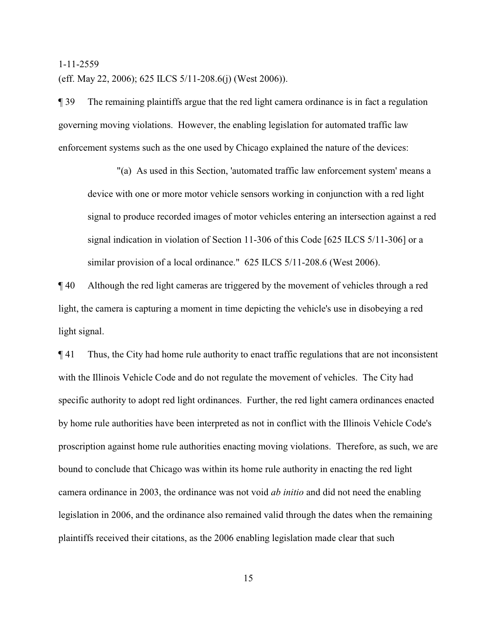(eff. May 22, 2006); 625 ILCS 5/11-208.6(j) (West 2006)).

¶ 39 The remaining plaintiffs argue that the red light camera ordinance is in fact a regulation governing moving violations. However, the enabling legislation for automated traffic law enforcement systems such as the one used by Chicago explained the nature of the devices:

"(a) As used in this Section, 'automated traffic law enforcement system' means a device with one or more motor vehicle sensors working in conjunction with a red light signal to produce recorded images of motor vehicles entering an intersection against a red signal indication in violation of Section 11-306 of this Code [625 ILCS 5/11-306] or a similar provision of a local ordinance." 625 ILCS 5/11-208.6 (West 2006).

¶ 40 Although the red light cameras are triggered by the movement of vehicles through a red light, the camera is capturing a moment in time depicting the vehicle's use in disobeying a red light signal.

¶ 41 Thus, the City had home rule authority to enact traffic regulations that are not inconsistent with the Illinois Vehicle Code and do not regulate the movement of vehicles. The City had specific authority to adopt red light ordinances. Further, the red light camera ordinances enacted by home rule authorities have been interpreted as not in conflict with the Illinois Vehicle Code's proscription against home rule authorities enacting moving violations. Therefore, as such, we are bound to conclude that Chicago was within its home rule authority in enacting the red light camera ordinance in 2003, the ordinance was not void *ab initio* and did not need the enabling legislation in 2006, and the ordinance also remained valid through the dates when the remaining plaintiffs received their citations, as the 2006 enabling legislation made clear that such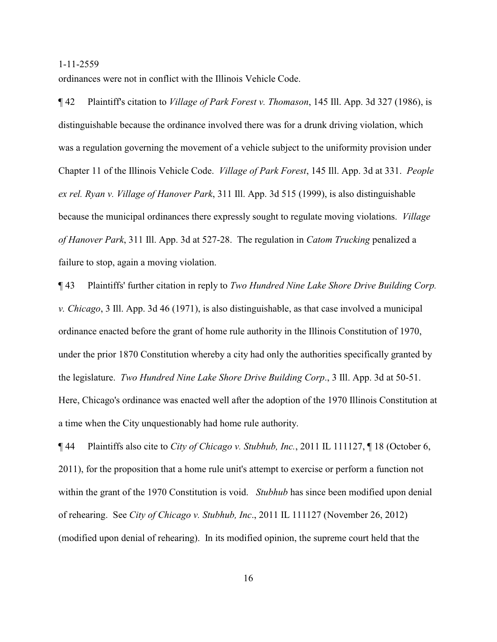ordinances were not in conflict with the Illinois Vehicle Code.

¶ 42 Plaintiff's citation to *Village of Park Forest v. Thomason*, 145 Ill. App. 3d 327 (1986), is distinguishable because the ordinance involved there was for a drunk driving violation, which was a regulation governing the movement of a vehicle subject to the uniformity provision under Chapter 11 of the Illinois Vehicle Code. *Village of Park Forest*, 145 Ill. App. 3d at 331. *People ex rel. Ryan v. Village of Hanover Park*, 311 Ill. App. 3d 515 (1999), is also distinguishable because the municipal ordinances there expressly sought to regulate moving violations. *Village of Hanover Park*, 311 Ill. App. 3d at 527-28. The regulation in *Catom Trucking* penalized a failure to stop, again a moving violation.

¶ 43 Plaintiffs' further citation in reply to *Two Hundred Nine Lake Shore Drive Building Corp. v. Chicago*, 3 Ill. App. 3d 46 (1971), is also distinguishable, as that case involved a municipal ordinance enacted before the grant of home rule authority in the Illinois Constitution of 1970, under the prior 1870 Constitution whereby a city had only the authorities specifically granted by the legislature. *Two Hundred Nine Lake Shore Drive Building Corp*., 3 Ill. App. 3d at 50-51. Here, Chicago's ordinance was enacted well after the adoption of the 1970 Illinois Constitution at a time when the City unquestionably had home rule authority.

¶ 44 Plaintiffs also cite to *City of Chicago v. Stubhub, Inc.*, 2011 IL 111127, ¶ 18 (October 6, 2011), for the proposition that a home rule unit's attempt to exercise or perform a function not within the grant of the 1970 Constitution is void. *Stubhub* has since been modified upon denial of rehearing. See *City of Chicago v. Stubhub, Inc*., 2011 IL 111127 (November 26, 2012) (modified upon denial of rehearing). In its modified opinion, the supreme court held that the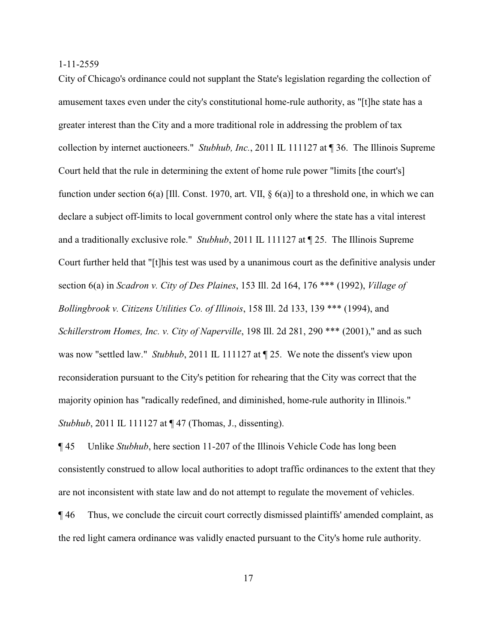City of Chicago's ordinance could not supplant the State's legislation regarding the collection of amusement taxes even under the city's constitutional home-rule authority, as "[t]he state has a greater interest than the City and a more traditional role in addressing the problem of tax collection by internet auctioneers." *Stubhub, Inc.*, 2011 IL 111127 at ¶ 36. The Illinois Supreme Court held that the rule in determining the extent of home rule power "limits [the court's] function under section 6(a) [Ill. Const. 1970, art. VII, § 6(a)] to a threshold one, in which we can declare a subject off-limits to local government control only where the state has a vital interest and a traditionally exclusive role." *Stubhub*, 2011 IL 111127 at ¶ 25. The Illinois Supreme Court further held that "[t]his test was used by a unanimous court as the definitive analysis under section 6(a) in *Scadron v. City of Des Plaines*, 153 Ill. 2d 164, 176 \*\*\* (1992), *Village of Bollingbrook v. Citizens Utilities Co. of Illinois*, 158 Ill. 2d 133, 139 \*\*\* (1994), and *Schillerstrom Homes, Inc. v. City of Naperville*, 198 Ill. 2d 281, 290 \*\*\* (2001)," and as such was now "settled law." *Stubhub*, 2011 IL 111127 at ¶ 25. We note the dissent's view upon reconsideration pursuant to the City's petition for rehearing that the City was correct that the majority opinion has "radically redefined, and diminished, home-rule authority in Illinois." *Stubhub*, 2011 IL 111127 at  $\P$  47 (Thomas, J., dissenting).

¶ 45 Unlike *Stubhub*, here section 11-207 of the Illinois Vehicle Code has long been consistently construed to allow local authorities to adopt traffic ordinances to the extent that they are not inconsistent with state law and do not attempt to regulate the movement of vehicles. ¶ 46 Thus, we conclude the circuit court correctly dismissed plaintiffs' amended complaint, as the red light camera ordinance was validly enacted pursuant to the City's home rule authority.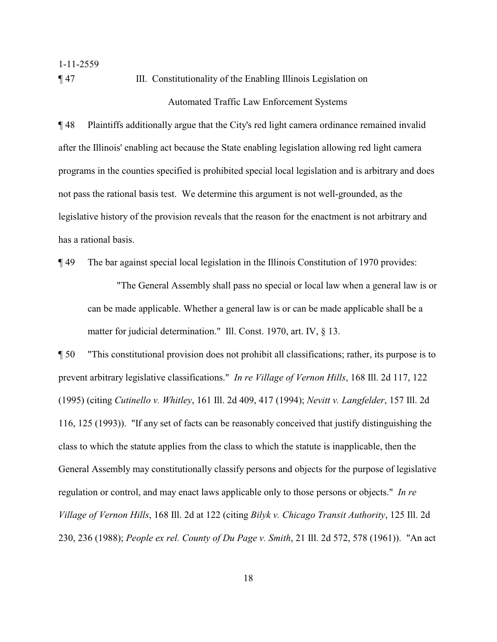1-11-2559 ¶ 47 III. Constitutionality of the Enabling Illinois Legislation on Automated Traffic Law Enforcement Systems

¶ 48 Plaintiffs additionally argue that the City's red light camera ordinance remained invalid after the Illinois' enabling act because the State enabling legislation allowing red light camera programs in the counties specified is prohibited special local legislation and is arbitrary and does not pass the rational basis test. We determine this argument is not well-grounded, as the legislative history of the provision reveals that the reason for the enactment is not arbitrary and has a rational basis.

¶ 49 The bar against special local legislation in the Illinois Constitution of 1970 provides:

"The General Assembly shall pass no special or local law when a general law is or can be made applicable. Whether a general law is or can be made applicable shall be a matter for judicial determination." Ill. Const. 1970, art. IV, § 13.

¶ 50 "This constitutional provision does not prohibit all classifications; rather, its purpose is to prevent arbitrary legislative classifications." *In re Village of Vernon Hills*, 168 Ill. 2d 117, 122 (1995) (citing *Cutinello v. Whitley*, 161 Ill. 2d 409, 417 (1994); *Nevitt v. Langfelder*, 157 Ill. 2d 116, 125 (1993)). "If any set of facts can be reasonably conceived that justify distinguishing the class to which the statute applies from the class to which the statute is inapplicable, then the General Assembly may constitutionally classify persons and objects for the purpose of legislative regulation or control, and may enact laws applicable only to those persons or objects." *In re Village of Vernon Hills*, 168 Ill. 2d at 122 (citing *Bilyk v. Chicago Transit Authority*, 125 Ill. 2d 230, 236 (1988); *People ex rel. County of Du Page v. Smith*, 21 Ill. 2d 572, 578 (1961)). "An act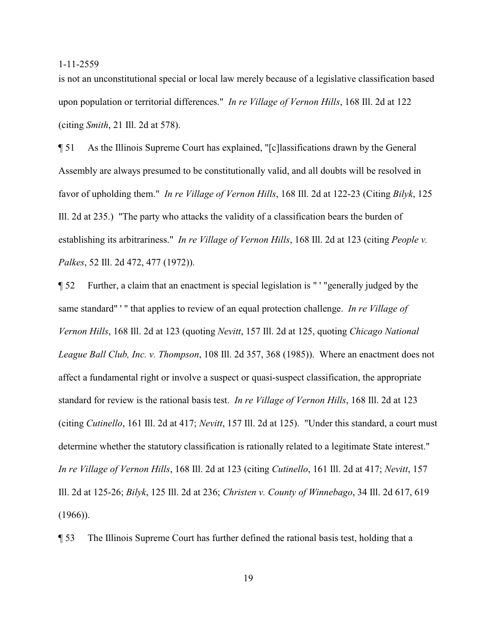is not an unconstitutional special or local law merely because of a legislative classification based upon population or territorial differences." *In re Village of Vernon Hills*, 168 Ill. 2d at 122 (citing *Smith*, 21 Ill. 2d at 578).

¶ 51 As the Illinois Supreme Court has explained, "[c]lassifications drawn by the General Assembly are always presumed to be constitutionally valid, and all doubts will be resolved in favor of upholding them." *In re Village of Vernon Hills*, 168 Ill. 2d at 122-23 (Citing *Bilyk*, 125 Ill. 2d at 235.) "The party who attacks the validity of a classification bears the burden of establishing its arbitrariness." *In re Village of Vernon Hills*, 168 Ill. 2d at 123 (citing *People v. Palkes*, 52 Ill. 2d 472, 477 (1972)).

¶ 52 Further, a claim that an enactment is special legislation is " ' "generally judged by the same standard" ' " that applies to review of an equal protection challenge. *In re Village of Vernon Hills*, 168 Ill. 2d at 123 (quoting *Nevitt*, 157 Ill. 2d at 125, quoting *Chicago National League Ball Club, Inc. v. Thompson*, 108 Ill. 2d 357, 368 (1985)). Where an enactment does not affect a fundamental right or involve a suspect or quasi-suspect classification, the appropriate standard for review is the rational basis test. *In re Village of Vernon Hills*, 168 Ill. 2d at 123 (citing *Cutinello*, 161 Ill. 2d at 417; *Nevitt*, 157 Ill. 2d at 125). "Under this standard, a court must determine whether the statutory classification is rationally related to a legitimate State interest." *In re Village of Vernon Hills*, 168 Ill. 2d at 123 (citing *Cutinello*, 161 Ill. 2d at 417; *Nevitt*, 157 Ill. 2d at 125-26; *Bilyk*, 125 Ill. 2d at 236; *Christen v. County of Winnebago*, 34 Ill. 2d 617, 619  $(1966)$ ).

¶ 53 The Illinois Supreme Court has further defined the rational basis test, holding that a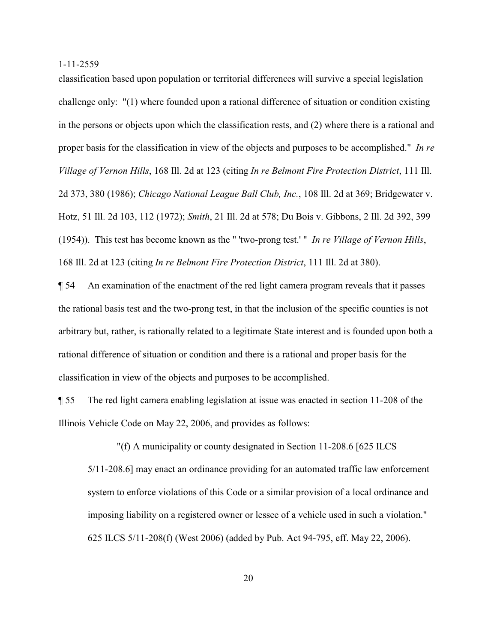classification based upon population or territorial differences will survive a special legislation challenge only: "(1) where founded upon a rational difference of situation or condition existing in the persons or objects upon which the classification rests, and (2) where there is a rational and proper basis for the classification in view of the objects and purposes to be accomplished." *In re Village of Vernon Hills*, 168 Ill. 2d at 123 (citing *In re Belmont Fire Protection District*, 111 Ill. 2d 373, 380 (1986); *Chicago National League Ball Club, Inc.*, 108 Ill. 2d at 369; Bridgewater v. Hotz, 51 Ill. 2d 103, 112 (1972); *Smith*, 21 Ill. 2d at 578; Du Bois v. Gibbons, 2 Ill. 2d 392, 399 (1954)). This test has become known as the " 'two-prong test.' " *In re Village of Vernon Hills*, 168 Ill. 2d at 123 (citing *In re Belmont Fire Protection District*, 111 Ill. 2d at 380).

¶ 54 An examination of the enactment of the red light camera program reveals that it passes the rational basis test and the two-prong test, in that the inclusion of the specific counties is not arbitrary but, rather, is rationally related to a legitimate State interest and is founded upon both a rational difference of situation or condition and there is a rational and proper basis for the classification in view of the objects and purposes to be accomplished.

¶ 55 The red light camera enabling legislation at issue was enacted in section 11-208 of the Illinois Vehicle Code on May 22, 2006, and provides as follows:

 "(f) A municipality or county designated in Section 11-208.6 [625 ILCS 5/11-208.6] may enact an ordinance providing for an automated traffic law enforcement system to enforce violations of this Code or a similar provision of a local ordinance and imposing liability on a registered owner or lessee of a vehicle used in such a violation." 625 ILCS 5/11-208(f) (West 2006) (added by Pub. Act 94-795, eff. May 22, 2006).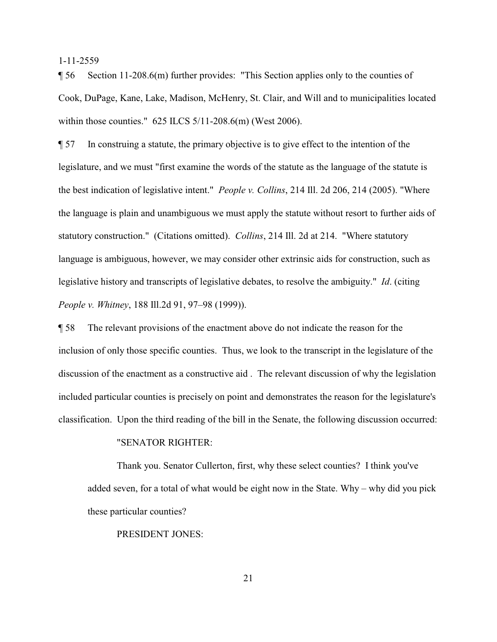¶ 56 Section 11-208.6(m) further provides: "This Section applies only to the counties of Cook, DuPage, Kane, Lake, Madison, McHenry, St. Clair, and Will and to municipalities located within those counties." 625 ILCS 5/11-208.6(m) (West 2006).

¶ 57 In construing a statute, the primary objective is to give effect to the intention of the legislature, and we must "first examine the words of the statute as the language of the statute is the best indication of legislative intent." *People v. Collins*, 214 Ill. 2d 206, 214 (2005). "Where the language is plain and unambiguous we must apply the statute without resort to further aids of statutory construction." (Citations omitted). *Collins*, 214 Ill. 2d at 214. "Where statutory language is ambiguous, however, we may consider other extrinsic aids for construction, such as legislative history and transcripts of legislative debates, to resolve the ambiguity." *Id*. (citing *People v. Whitney*, 188 Ill.2d 91, 97–98 (1999)).

¶ 58 The relevant provisions of the enactment above do not indicate the reason for the inclusion of only those specific counties. Thus, we look to the transcript in the legislature of the discussion of the enactment as a constructive aid . The relevant discussion of why the legislation included particular counties is precisely on point and demonstrates the reason for the legislature's classification. Upon the third reading of the bill in the Senate, the following discussion occurred:

## "SENATOR RIGHTER:

Thank you. Senator Cullerton, first, why these select counties? I think you've added seven, for a total of what would be eight now in the State. Why – why did you pick these particular counties?

## PRESIDENT JONES: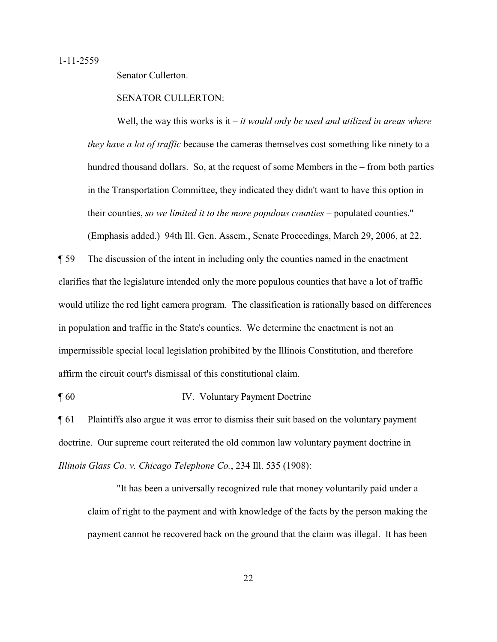Senator Cullerton.

## SENATOR CULLERTON:

Well, the way this works is it – *it would only be used and utilized in areas where they have a lot of traffic* because the cameras themselves cost something like ninety to a hundred thousand dollars. So, at the request of some Members in the – from both parties in the Transportation Committee, they indicated they didn't want to have this option in their counties, *so we limited it to the more populous counties* – populated counties." (Emphasis added.) 94th Ill. Gen. Assem., Senate Proceedings, March 29, 2006, at 22.

¶ 59 The discussion of the intent in including only the counties named in the enactment clarifies that the legislature intended only the more populous counties that have a lot of traffic would utilize the red light camera program. The classification is rationally based on differences in population and traffic in the State's counties. We determine the enactment is not an impermissible special local legislation prohibited by the Illinois Constitution, and therefore affirm the circuit court's dismissal of this constitutional claim.

¶ 60 IV. Voluntary Payment Doctrine

¶ 61 Plaintiffs also argue it was error to dismiss their suit based on the voluntary payment doctrine. Our supreme court reiterated the old common law voluntary payment doctrine in *Illinois Glass Co. v. Chicago Telephone Co.*, 234 Ill. 535 (1908):

"It has been a universally recognized rule that money voluntarily paid under a claim of right to the payment and with knowledge of the facts by the person making the payment cannot be recovered back on the ground that the claim was illegal. It has been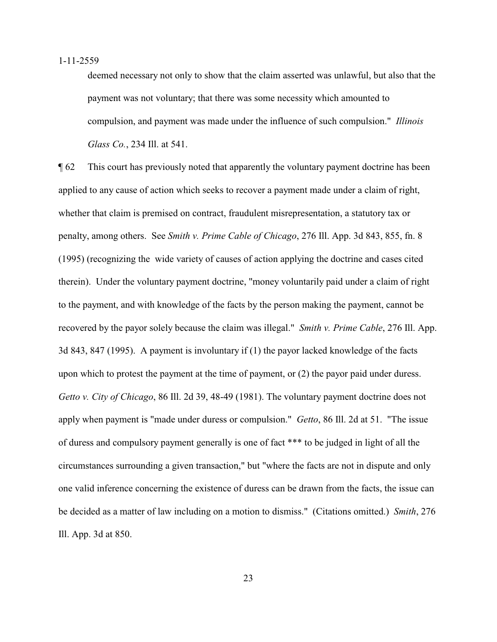deemed necessary not only to show that the claim asserted was unlawful, but also that the payment was not voluntary; that there was some necessity which amounted to compulsion, and payment was made under the influence of such compulsion." *Illinois Glass Co.*, 234 Ill. at 541.

¶ 62 This court has previously noted that apparently the voluntary payment doctrine has been applied to any cause of action which seeks to recover a payment made under a claim of right, whether that claim is premised on contract, fraudulent misrepresentation, a statutory tax or penalty, among others. See *Smith v. Prime Cable of Chicago*, 276 Ill. App. 3d 843, 855, fn. 8 (1995) (recognizing the wide variety of causes of action applying the doctrine and cases cited therein). Under the voluntary payment doctrine, "money voluntarily paid under a claim of right to the payment, and with knowledge of the facts by the person making the payment, cannot be recovered by the payor solely because the claim was illegal." *Smith v. Prime Cable*, 276 Ill. App. 3d 843, 847 (1995). A payment is involuntary if (1) the payor lacked knowledge of the facts upon which to protest the payment at the time of payment, or (2) the payor paid under duress. *Getto v. City of Chicago*, 86 Ill. 2d 39, 48-49 (1981). The voluntary payment doctrine does not apply when payment is "made under duress or compulsion." *Getto*, 86 Ill. 2d at 51. "The issue of duress and compulsory payment generally is one of fact \*\*\* to be judged in light of all the circumstances surrounding a given transaction," but "where the facts are not in dispute and only one valid inference concerning the existence of duress can be drawn from the facts, the issue can be decided as a matter of law including on a motion to dismiss." (Citations omitted.) *Smith*, 276 Ill. App. 3d at 850.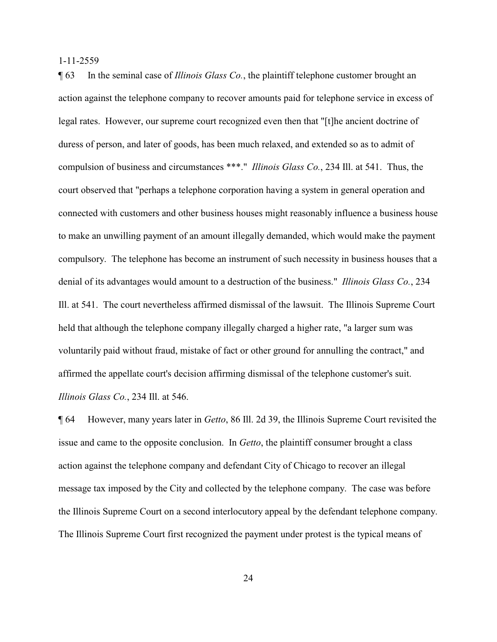¶ 63 In the seminal case of *Illinois Glass Co.*, the plaintiff telephone customer brought an action against the telephone company to recover amounts paid for telephone service in excess of legal rates. However, our supreme court recognized even then that "[t]he ancient doctrine of duress of person, and later of goods, has been much relaxed, and extended so as to admit of compulsion of business and circumstances \*\*\*." *Illinois Glass Co.*, 234 Ill. at 541. Thus, the court observed that "perhaps a telephone corporation having a system in general operation and connected with customers and other business houses might reasonably influence a business house to make an unwilling payment of an amount illegally demanded, which would make the payment compulsory. The telephone has become an instrument of such necessity in business houses that a denial of its advantages would amount to a destruction of the business." *Illinois Glass Co.*, 234 Ill. at 541. The court nevertheless affirmed dismissal of the lawsuit. The Illinois Supreme Court held that although the telephone company illegally charged a higher rate, "a larger sum was voluntarily paid without fraud, mistake of fact or other ground for annulling the contract," and affirmed the appellate court's decision affirming dismissal of the telephone customer's suit. *Illinois Glass Co.*, 234 Ill. at 546.

¶ 64 However, many years later in *Getto*, 86 Ill. 2d 39, the Illinois Supreme Court revisited the issue and came to the opposite conclusion. In *Getto*, the plaintiff consumer brought a class action against the telephone company and defendant City of Chicago to recover an illegal message tax imposed by the City and collected by the telephone company. The case was before the Illinois Supreme Court on a second interlocutory appeal by the defendant telephone company. The Illinois Supreme Court first recognized the payment under protest is the typical means of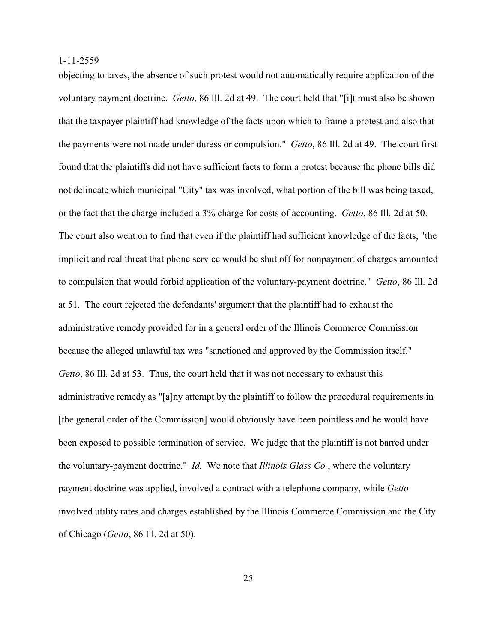objecting to taxes, the absence of such protest would not automatically require application of the voluntary payment doctrine. *Getto*, 86 Ill. 2d at 49. The court held that "[i]t must also be shown that the taxpayer plaintiff had knowledge of the facts upon which to frame a protest and also that the payments were not made under duress or compulsion." *Getto*, 86 Ill. 2d at 49. The court first found that the plaintiffs did not have sufficient facts to form a protest because the phone bills did not delineate which municipal "City" tax was involved, what portion of the bill was being taxed, or the fact that the charge included a 3% charge for costs of accounting. *Getto*, 86 Ill. 2d at 50. The court also went on to find that even if the plaintiff had sufficient knowledge of the facts, "the implicit and real threat that phone service would be shut off for nonpayment of charges amounted to compulsion that would forbid application of the voluntary-payment doctrine." *Getto*, 86 Ill. 2d at 51. The court rejected the defendants' argument that the plaintiff had to exhaust the administrative remedy provided for in a general order of the Illinois Commerce Commission because the alleged unlawful tax was "sanctioned and approved by the Commission itself." *Getto*, 86 Ill. 2d at 53. Thus, the court held that it was not necessary to exhaust this administrative remedy as "[a]ny attempt by the plaintiff to follow the procedural requirements in [the general order of the Commission] would obviously have been pointless and he would have been exposed to possible termination of service. We judge that the plaintiff is not barred under the voluntary-payment doctrine." *Id.* We note that *Illinois Glass Co.*, where the voluntary payment doctrine was applied, involved a contract with a telephone company, while *Getto* involved utility rates and charges established by the Illinois Commerce Commission and the City of Chicago (*Getto*, 86 Ill. 2d at 50).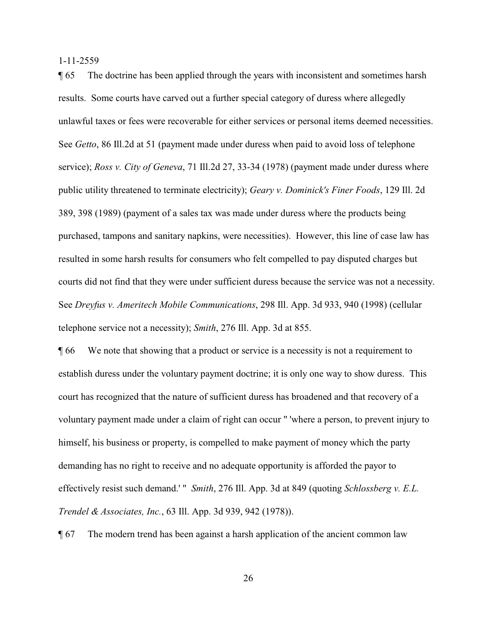¶ 65 The doctrine has been applied through the years with inconsistent and sometimes harsh results. Some courts have carved out a further special category of duress where allegedly unlawful taxes or fees were recoverable for either services or personal items deemed necessities. See *Getto*, 86 Ill.2d at 51 (payment made under duress when paid to avoid loss of telephone service); *Ross v. City of Geneva*, 71 Ill.2d 27, 33-34 (1978) (payment made under duress where public utility threatened to terminate electricity); *Geary v. Dominick's Finer Foods*, 129 Ill. 2d 389, 398 (1989) (payment of a sales tax was made under duress where the products being purchased, tampons and sanitary napkins, were necessities). However, this line of case law has resulted in some harsh results for consumers who felt compelled to pay disputed charges but courts did not find that they were under sufficient duress because the service was not a necessity. See *Dreyfus v. Ameritech Mobile Communications*, 298 Ill. App. 3d 933, 940 (1998) (cellular telephone service not a necessity); *Smith*, 276 Ill. App. 3d at 855.

¶ 66 We note that showing that a product or service is a necessity is not a requirement to establish duress under the voluntary payment doctrine; it is only one way to show duress. This court has recognized that the nature of sufficient duress has broadened and that recovery of a voluntary payment made under a claim of right can occur " 'where a person, to prevent injury to himself, his business or property, is compelled to make payment of money which the party demanding has no right to receive and no adequate opportunity is afforded the payor to effectively resist such demand.' " *Smith*, 276 Ill. App. 3d at 849 (quoting *Schlossberg v. E.L. Trendel & Associates, Inc.*, 63 Ill. App. 3d 939, 942 (1978)).

¶ 67 The modern trend has been against a harsh application of the ancient common law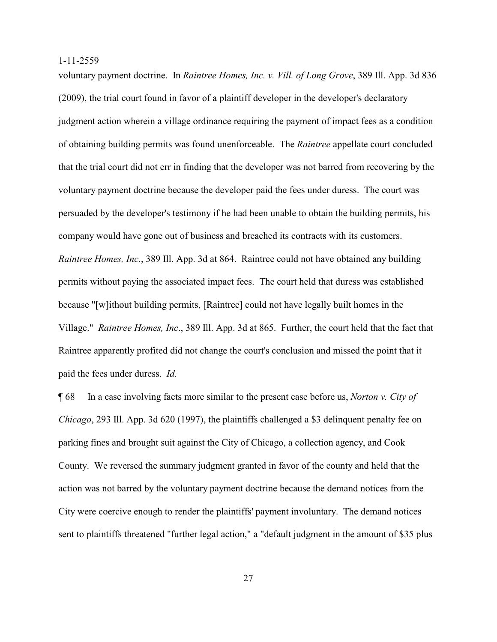voluntary payment doctrine. In *Raintree Homes, Inc. v. Vill. of Long Grove*, 389 Ill. App. 3d 836 (2009), the trial court found in favor of a plaintiff developer in the developer's declaratory judgment action wherein a village ordinance requiring the payment of impact fees as a condition of obtaining building permits was found unenforceable. The *Raintree* appellate court concluded that the trial court did not err in finding that the developer was not barred from recovering by the voluntary payment doctrine because the developer paid the fees under duress. The court was persuaded by the developer's testimony if he had been unable to obtain the building permits, his company would have gone out of business and breached its contracts with its customers. *Raintree Homes, Inc.*, 389 Ill. App. 3d at 864. Raintree could not have obtained any building permits without paying the associated impact fees. The court held that duress was established because "[w]ithout building permits, [Raintree] could not have legally built homes in the Village." *Raintree Homes, Inc*., 389 Ill. App. 3d at 865. Further, the court held that the fact that Raintree apparently profited did not change the court's conclusion and missed the point that it paid the fees under duress. *Id.* 

¶ 68 In a case involving facts more similar to the present case before us, *Norton v. City of Chicago*, 293 Ill. App. 3d 620 (1997), the plaintiffs challenged a \$3 delinquent penalty fee on parking fines and brought suit against the City of Chicago, a collection agency, and Cook County. We reversed the summary judgment granted in favor of the county and held that the action was not barred by the voluntary payment doctrine because the demand notices from the City were coercive enough to render the plaintiffs' payment involuntary. The demand notices sent to plaintiffs threatened "further legal action," a "default judgment in the amount of \$35 plus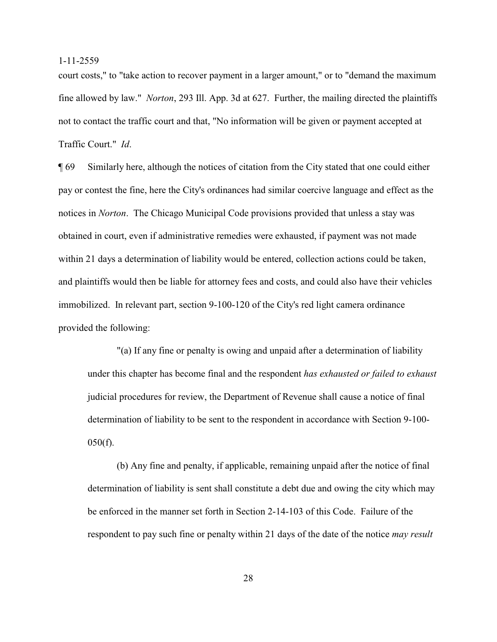court costs," to "take action to recover payment in a larger amount," or to "demand the maximum fine allowed by law." *Norton*, 293 Ill. App. 3d at 627. Further, the mailing directed the plaintiffs not to contact the traffic court and that, "No information will be given or payment accepted at Traffic Court." *Id*.

¶ 69 Similarly here, although the notices of citation from the City stated that one could either pay or contest the fine, here the City's ordinances had similar coercive language and effect as the notices in *Norton*. The Chicago Municipal Code provisions provided that unless a stay was obtained in court, even if administrative remedies were exhausted, if payment was not made within 21 days a determination of liability would be entered, collection actions could be taken, and plaintiffs would then be liable for attorney fees and costs, and could also have their vehicles immobilized. In relevant part, section 9-100-120 of the City's red light camera ordinance provided the following:

"(a) If any fine or penalty is owing and unpaid after a determination of liability under this chapter has become final and the respondent *has exhausted or failed to exhaust* judicial procedures for review, the Department of Revenue shall cause a notice of final determination of liability to be sent to the respondent in accordance with Section 9-100-  $050(f)$ .

(b) Any fine and penalty, if applicable, remaining unpaid after the notice of final determination of liability is sent shall constitute a debt due and owing the city which may be enforced in the manner set forth in Section 2-14-103 of this Code. Failure of the respondent to pay such fine or penalty within 21 days of the date of the notice *may result*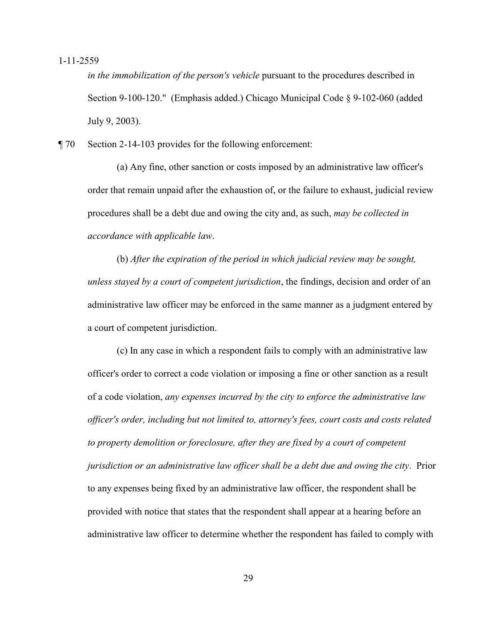*in the immobilization of the person's vehicle* pursuant to the procedures described in Section 9-100-120." (Emphasis added.) Chicago Municipal Code § 9-102-060 (added July 9, 2003).

¶ 70 Section 2-14-103 provides for the following enforcement:

(a) Any fine, other sanction or costs imposed by an administrative law officer's order that remain unpaid after the exhaustion of, or the failure to exhaust, judicial review procedures shall be a debt due and owing the city and, as such, *may be collected in accordance with applicable law*.

(b) *After the expiration of the period in which judicial review may be sought, unless stayed by a court of competent jurisdiction*, the findings, decision and order of an administrative law officer may be enforced in the same manner as a judgment entered by a court of competent jurisdiction.

(c) In any case in which a respondent fails to comply with an administrative law officer's order to correct a code violation or imposing a fine or other sanction as a result of a code violation, *any expenses incurred by the city to enforce the administrative law officer's order, including but not limited to, attorney's fees, court costs and costs related to property demolition or foreclosure, after they are fixed by a court of competent jurisdiction or an administrative law officer shall be a debt due and owing the city*. Prior to any expenses being fixed by an administrative law officer, the respondent shall be provided with notice that states that the respondent shall appear at a hearing before an administrative law officer to determine whether the respondent has failed to comply with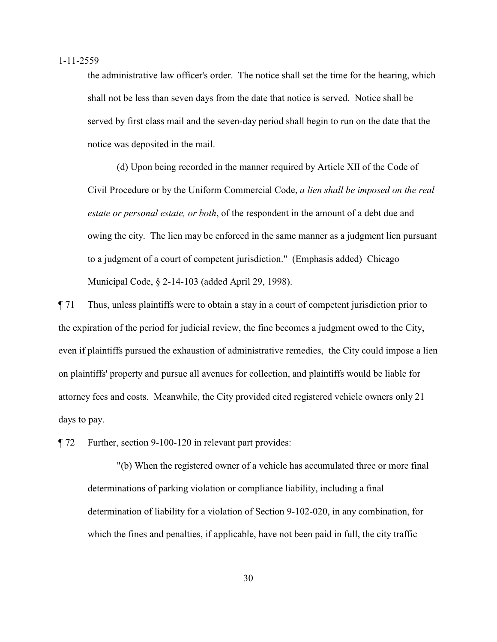the administrative law officer's order. The notice shall set the time for the hearing, which shall not be less than seven days from the date that notice is served. Notice shall be served by first class mail and the seven-day period shall begin to run on the date that the notice was deposited in the mail.

(d) Upon being recorded in the manner required by Article XII of the Code of Civil Procedure or by the Uniform Commercial Code, *a lien shall be imposed on the real estate or personal estate, or both*, of the respondent in the amount of a debt due and owing the city. The lien may be enforced in the same manner as a judgment lien pursuant to a judgment of a court of competent jurisdiction." (Emphasis added) Chicago Municipal Code, § 2-14-103 (added April 29, 1998).

¶ 71 Thus, unless plaintiffs were to obtain a stay in a court of competent jurisdiction prior to the expiration of the period for judicial review, the fine becomes a judgment owed to the City, even if plaintiffs pursued the exhaustion of administrative remedies, the City could impose a lien on plaintiffs' property and pursue all avenues for collection, and plaintiffs would be liable for attorney fees and costs. Meanwhile, the City provided cited registered vehicle owners only 21 days to pay.

¶ 72 Further, section 9-100-120 in relevant part provides:

"(b) When the registered owner of a vehicle has accumulated three or more final determinations of parking violation or compliance liability, including a final determination of liability for a violation of Section 9-102-020, in any combination, for which the fines and penalties, if applicable, have not been paid in full, the city traffic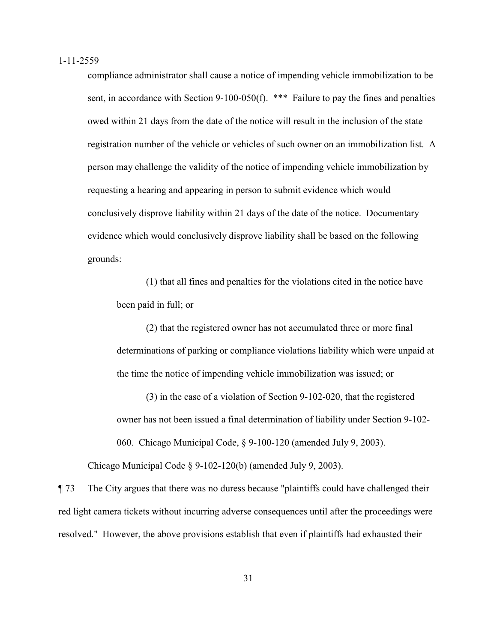compliance administrator shall cause a notice of impending vehicle immobilization to be sent, in accordance with Section 9-100-050(f). \*\*\* Failure to pay the fines and penalties owed within 21 days from the date of the notice will result in the inclusion of the state registration number of the vehicle or vehicles of such owner on an immobilization list. A person may challenge the validity of the notice of impending vehicle immobilization by requesting a hearing and appearing in person to submit evidence which would conclusively disprove liability within 21 days of the date of the notice. Documentary evidence which would conclusively disprove liability shall be based on the following grounds:

(1) that all fines and penalties for the violations cited in the notice have been paid in full; or

(2) that the registered owner has not accumulated three or more final determinations of parking or compliance violations liability which were unpaid at the time the notice of impending vehicle immobilization was issued; or

(3) in the case of a violation of Section 9-102-020, that the registered owner has not been issued a final determination of liability under Section 9-102- 060. Chicago Municipal Code, § 9-100-120 (amended July 9, 2003).

Chicago Municipal Code § 9-102-120(b) (amended July 9, 2003).

¶ 73 The City argues that there was no duress because "plaintiffs could have challenged their red light camera tickets without incurring adverse consequences until after the proceedings were resolved." However, the above provisions establish that even if plaintiffs had exhausted their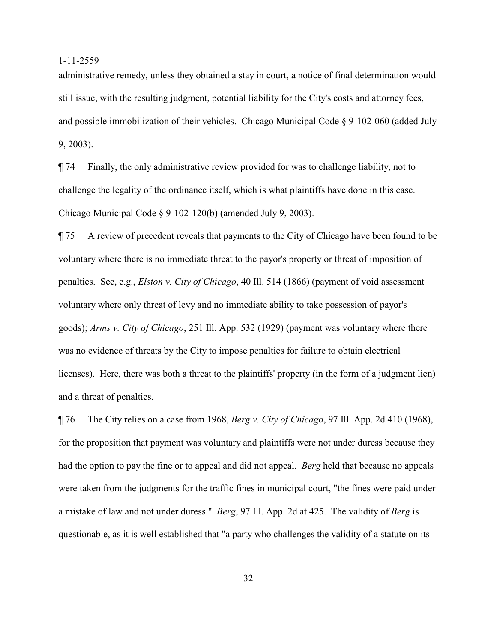administrative remedy, unless they obtained a stay in court, a notice of final determination would still issue, with the resulting judgment, potential liability for the City's costs and attorney fees, and possible immobilization of their vehicles. Chicago Municipal Code § 9-102-060 (added July 9, 2003).

¶ 74 Finally, the only administrative review provided for was to challenge liability, not to challenge the legality of the ordinance itself, which is what plaintiffs have done in this case. Chicago Municipal Code § 9-102-120(b) (amended July 9, 2003).

¶ 75 A review of precedent reveals that payments to the City of Chicago have been found to be voluntary where there is no immediate threat to the payor's property or threat of imposition of penalties. See, e.g., *Elston v. City of Chicago*, 40 Ill. 514 (1866) (payment of void assessment voluntary where only threat of levy and no immediate ability to take possession of payor's goods); *Arms v. City of Chicago*, 251 Ill. App. 532 (1929) (payment was voluntary where there was no evidence of threats by the City to impose penalties for failure to obtain electrical licenses). Here, there was both a threat to the plaintiffs' property (in the form of a judgment lien) and a threat of penalties.

¶ 76 The City relies on a case from 1968, *Berg v. City of Chicago*, 97 Ill. App. 2d 410 (1968), for the proposition that payment was voluntary and plaintiffs were not under duress because they had the option to pay the fine or to appeal and did not appeal. *Berg* held that because no appeals were taken from the judgments for the traffic fines in municipal court, "the fines were paid under a mistake of law and not under duress." *Berg*, 97 Ill. App. 2d at 425. The validity of *Berg* is questionable, as it is well established that "a party who challenges the validity of a statute on its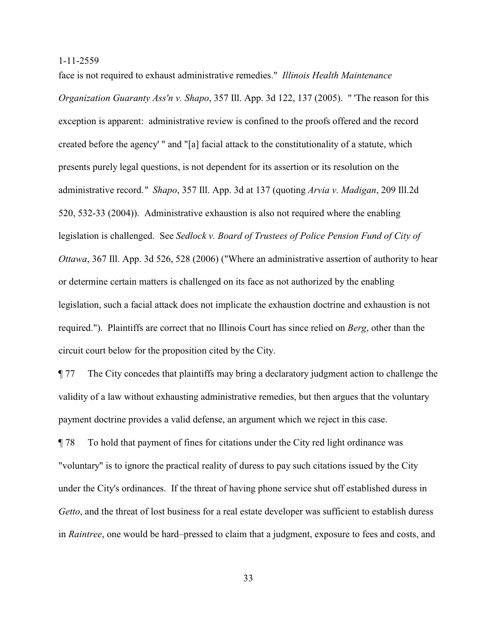face is not required to exhaust administrative remedies." *Illinois Health Maintenance Organization Guaranty Ass'n v. Shapo*, 357 Ill. App. 3d 122, 137 (2005). " 'The reason for this exception is apparent: administrative review is confined to the proofs offered and the record created before the agency' " and "[a] facial attack to the constitutionality of a statute, which presents purely legal questions, is not dependent for its assertion or its resolution on the administrative record.*" Shapo*, 357 Ill. App. 3d at 137 (quoting *Arvia v. Madigan*, 209 Ill.2d 520, 532-33 (2004)). Administrative exhaustion is also not required where the enabling legislation is challenged. See *Sedlock v. Board of Trustees of Police Pension Fund of City of Ottawa*, 367 Ill. App. 3d 526, 528 (2006) ("Where an administrative assertion of authority to hear or determine certain matters is challenged on its face as not authorized by the enabling legislation, such a facial attack does not implicate the exhaustion doctrine and exhaustion is not required."). Plaintiffs are correct that no Illinois Court has since relied on *Berg*, other than the circuit court below for the proposition cited by the City.

¶ 77 The City concedes that plaintiffs may bring a declaratory judgment action to challenge the validity of a law without exhausting administrative remedies, but then argues that the voluntary payment doctrine provides a valid defense, an argument which we reject in this case.

¶ 78 To hold that payment of fines for citations under the City red light ordinance was "voluntary" is to ignore the practical reality of duress to pay such citations issued by the City under the City's ordinances. If the threat of having phone service shut off established duress in *Getto*, and the threat of lost business for a real estate developer was sufficient to establish duress in *Raintree*, one would be hard–pressed to claim that a judgment, exposure to fees and costs, and